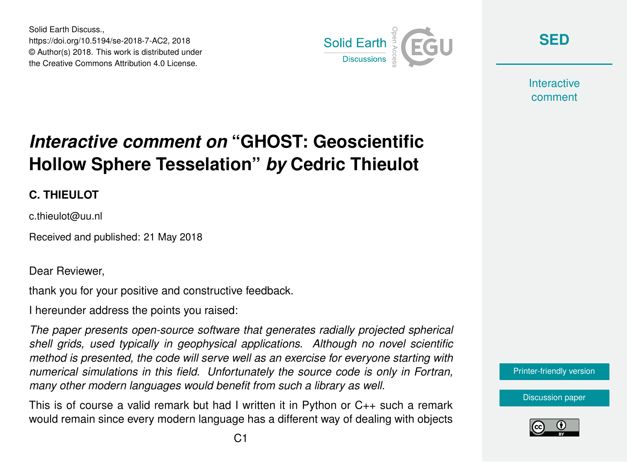Solid Earth Discuss., https://doi.org/10.5194/se-2018-7-AC2, 2018 © Author(s) 2018. This work is distributed under the Creative Commons Attribution 4.0 License.



**[SED](https://www.solid-earth-discuss.net/)**

**Interactive** comment

## *Interactive comment on* **"GHOST: Geoscientific Hollow Sphere Tesselation"** *by* **Cedric Thieulot**

## **C. THIEULOT**

c.thieulot@uu.nl

Received and published: 21 May 2018

Dear Reviewer,

thank you for your positive and constructive feedback.

I hereunder address the points you raised:

*The paper presents open-source software that generates radially projected spherical shell grids, used typically in geophysical applications. Although no novel scientific method is presented, the code will serve well as an exercise for everyone starting with numerical simulations in this field. Unfortunately the source code is only in Fortran, many other modern languages would benefit from such a library as well.*

This is of course a valid remark but had I written it in Python or  $C_{++}$  such a remark would remain since every modern language has a different way of dealing with objects

[Printer-friendly version](https://www.solid-earth-discuss.net/se-2018-7/se-2018-7-AC2-print.pdf)

[Discussion paper](https://www.solid-earth-discuss.net/se-2018-7)

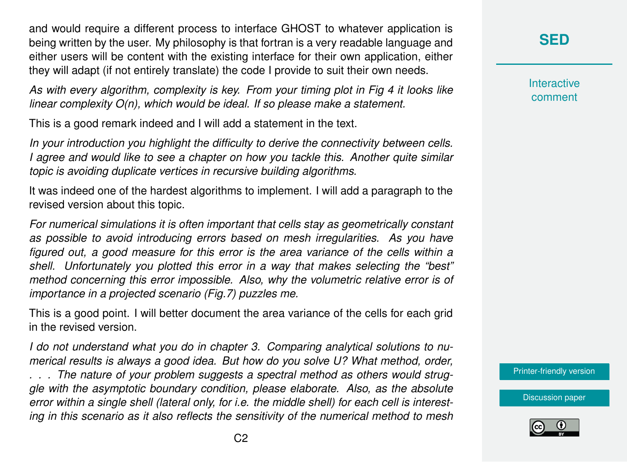and would require a different process to interface GHOST to whatever application is being written by the user. My philosophy is that fortran is a very readable language and either users will be content with the existing interface for their own application, either they will adapt (if not entirely translate) the code I provide to suit their own needs.

*As with every algorithm, complexity is key. From your timing plot in Fig 4 it looks like linear complexity O(n), which would be ideal. If so please make a statement.*

This is a good remark indeed and I will add a statement in the text.

*In your introduction you highlight the difficulty to derive the connectivity between cells. I agree and would like to see a chapter on how you tackle this. Another quite similar topic is avoiding duplicate vertices in recursive building algorithms.*

It was indeed one of the hardest algorithms to implement. I will add a paragraph to the revised version about this topic.

*For numerical simulations it is often important that cells stay as geometrically constant as possible to avoid introducing errors based on mesh irregularities. As you have figured out, a good measure for this error is the area variance of the cells within a shell. Unfortunately you plotted this error in a way that makes selecting the "best" method concerning this error impossible. Also, why the volumetric relative error is of importance in a projected scenario (Fig.7) puzzles me.*

This is a good point. I will better document the area variance of the cells for each grid in the revised version.

*I do not understand what you do in chapter 3. Comparing analytical solutions to numerical results is always a good idea. But how do you solve U? What method, order,*

*. . . The nature of your problem suggests a spectral method as others would struggle with the asymptotic boundary condition, please elaborate. Also, as the absolute error within a single shell (lateral only, for i.e. the middle shell) for each cell is interesting in this scenario as it also reflects the sensitivity of the numerical method to mesh* **[SED](https://www.solid-earth-discuss.net/)**

**Interactive** comment

[Printer-friendly version](https://www.solid-earth-discuss.net/se-2018-7/se-2018-7-AC2-print.pdf)

[Discussion paper](https://www.solid-earth-discuss.net/se-2018-7)